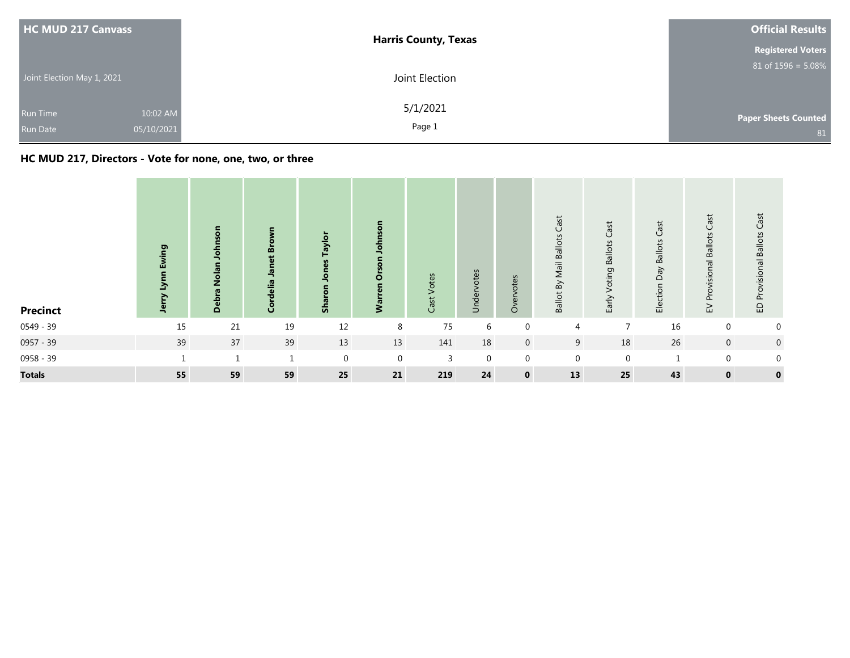| <b>HC MUD 217 Canvass</b>          |                        | <b>Harris County, Texas</b> | <b>Official Results</b><br><b>Registered Voters</b> |
|------------------------------------|------------------------|-----------------------------|-----------------------------------------------------|
| Joint Election May 1, 2021         |                        | Joint Election              | $81$ of $1596 = 5.08\%$                             |
| <b>Run Time</b><br><b>Run Date</b> | 10:02 AM<br>05/10/2021 | 5/1/2021<br>Page 1          | <b>Paper Sheets Counted</b><br>81                   |

## **HC MUD 217, Directors - Vote for none, one, two, or three**

| <b>Precinct</b> | Ewing<br>اعد<br>ð<br>흑 | $\overline{\mathbf{o}}$<br>Ż<br>Ă | ş<br>Janet Bro<br>Cordelia | Taylor<br>89<br>Sha | Johnson<br>Orson<br><b>Fen</b><br>Š | Votes<br>Cast | Undervotes  | otes<br>Overvo | Cast<br><b>Ballot By Mail Ballots</b> | Cast<br><b>Ballots</b><br>Voting<br>Early | Cast<br>Election Day Ballots | Cast<br><b>Ballots</b><br>Provisional<br>$\geq$ | Provisional Ballots Cast<br>$\Omega$ |
|-----------------|------------------------|-----------------------------------|----------------------------|---------------------|-------------------------------------|---------------|-------------|----------------|---------------------------------------|-------------------------------------------|------------------------------|-------------------------------------------------|--------------------------------------|
| 0549 - 39       | 15                     | 21                                | 19                         | 12                  | 8                                   | 75            | 6           | $\mathbf{0}$   | 4                                     | $\overline{7}$                            | 16                           | $\mathbf 0$                                     | $\overline{0}$                       |
| 0957 - 39       | 39                     | 37                                | 39                         | 13                  | 13                                  | 141           | 18          | $\mathbf 0$    | 9                                     | 18                                        | 26                           | $\mathbf 0$                                     | $\overline{0}$                       |
| 0958 - 39       |                        | $\mathbf{1}$                      | $\mathbf{1}$               | $\mathbf 0$         | 0                                   | 3             | $\mathbf 0$ | $\mathbf 0$    | $\mathbf 0$                           | $\mathbf 0$                               | -1                           | $\mathbf{0}$                                    | $\mathbf 0$                          |
| <b>Totals</b>   | 55                     | 59                                | 59                         | 25                  | 21                                  | 219           | ${\bf 24}$  | $\mathbf 0$    | 13                                    | 25                                        | 43                           | $\mathbf 0$                                     | $\mathbf 0$                          |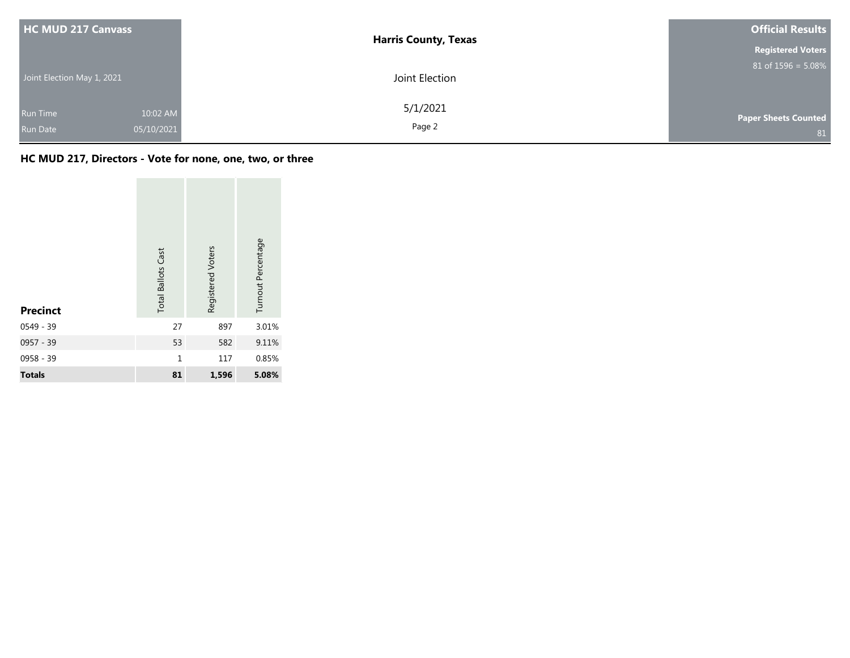| <b>HC MUD 217 Canvass</b>  |                        | <b>Harris County, Texas</b> | <b>Official Results</b>           |
|----------------------------|------------------------|-----------------------------|-----------------------------------|
|                            |                        |                             | <b>Registered Voters</b>          |
| Joint Election May 1, 2021 |                        | Joint Election              | $81$ of $1596 = 5.08\%$           |
| Run Time<br>Run Date       | 10:02 AM<br>05/10/2021 | 5/1/2021<br>Page 2          | <b>Paper Sheets Counted</b><br>81 |

## **HC MUD 217, Directors - Vote for none, one, two, or three**

| <b>Precinct</b> | <b>Total Ballots Cast</b> | Registered Voters | Turnout Percentage |
|-----------------|---------------------------|-------------------|--------------------|
| $0549 - 39$     | 27                        | 897               | 3.01%              |
| 0957 - 39       | 53                        | 582               | 9.11%              |
| 0958 - 39       | $\mathbf{1}$              | 117               | 0.85%              |
| <b>Totals</b>   | 81                        | 1,596             | 5.08%              |